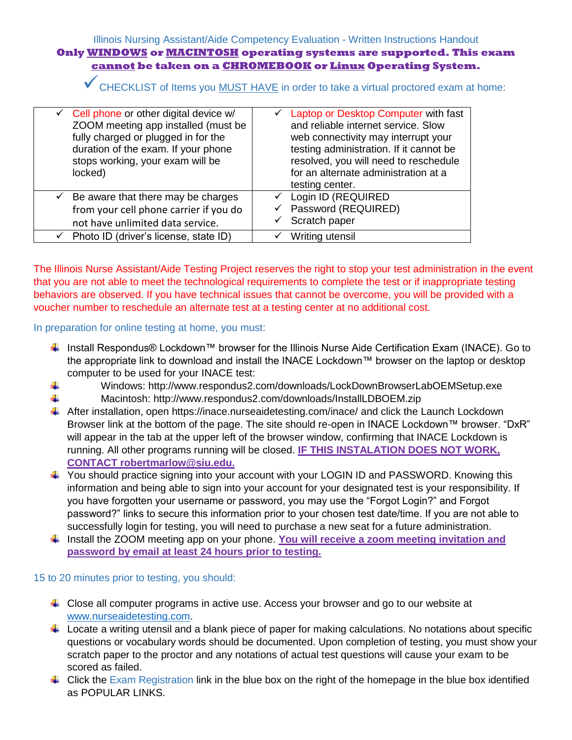## Illinois Nursing Assistant/Aide Competency Evaluation - Written Instructions Handout **Only WINDOWS or MACINTOSH operating systems are supported. This exam cannot be taken on a CHROMEBOOK or Linux Operating System.**

◆ CHECKLIST of Items you MUST HAVE in order to take a virtual proctored exam at home:

| $\checkmark$ Cell phone or other digital device w/<br>ZOOM meeting app installed (must be<br>fully charged or plugged in for the<br>duration of the exam. If your phone<br>stops working, your exam will be<br>locked) | ← Laptop or Desktop Computer with fast<br>and reliable internet service. Slow<br>web connectivity may interrupt your<br>testing administration. If it cannot be<br>resolved, you will need to reschedule<br>for an alternate administration at a<br>testing center. |
|------------------------------------------------------------------------------------------------------------------------------------------------------------------------------------------------------------------------|---------------------------------------------------------------------------------------------------------------------------------------------------------------------------------------------------------------------------------------------------------------------|
| $\checkmark$ Be aware that there may be charges<br>from your cell phone carrier if you do<br>not have unlimited data service.                                                                                          | ← Login ID (REQUIRED<br>Password (REQUIRED)<br>✓<br>Scratch paper                                                                                                                                                                                                   |
| Photo ID (driver's license, state ID)                                                                                                                                                                                  | Writing utensil<br>✓                                                                                                                                                                                                                                                |
|                                                                                                                                                                                                                        |                                                                                                                                                                                                                                                                     |

The Illinois Nurse Assistant/Aide Testing Project reserves the right to stop your test administration in the event that you are not able to meet the technological requirements to complete the test or if inappropriate testing behaviors are observed. If you have technical issues that cannot be overcome, you will be provided with a voucher number to reschedule an alternate test at a testing center at no additional cost.

In preparation for online testing at home, you must:

- Install Respondus® Lockdown™ browser for the Illinois Nurse Aide Certification Exam (INACE). Go to the appropriate link to download and install the INACE Lockdown™ browser on the laptop or desktop computer to be used for your INACE test:
- 4. Windows: http://www.respondus2.com/downloads/LockDownBrowserLabOEMSetup.exe
- ÷ Macintosh: http://www.respondus2.com/downloads/InstallLDBOEM.zip
- After installation, open https://inace.nurseaidetesting.com/inace/ and click the Launch Lockdown Browser link at the bottom of the page. The site should re-open in INACE Lockdown™ browser. "DxR" will appear in the tab at the upper left of the browser window, confirming that INACE Lockdown is running. All other programs running will be closed. **IF THIS INSTALATION DOES NOT WORK, CONTACT robertmarlow@siu.edu.**
- $\pm$  You should practice signing into your account with your LOGIN ID and PASSWORD. Knowing this information and being able to sign into your account for your designated test is your responsibility. If you have forgotten your username or password, you may use the "Forgot Login?" and Forgot password?" links to secure this information prior to your chosen test date/time. If you are not able to successfully login for testing, you will need to purchase a new seat for a future administration.
- ↓ Install the ZOOM meeting app on your phone. You will receive a zoom meeting invitation and **password by email at least 24 hours prior to testing.**

15 to 20 minutes prior to testing, you should:

- $\ddot{\phantom{1}}$  Close all computer programs in active use. Access your browser and go to our website at [www.nurseaidetesting.com.](http://www.nurseaidetesting.com/)
- $\ddot{+}$  Locate a writing utensil and a blank piece of paper for making calculations. No notations about specific questions or vocabulary words should be documented. Upon completion of testing, you must show your scratch paper to the proctor and any notations of actual test questions will cause your exam to be scored as failed.
- $\downarrow$  Click the Exam Registration link in the blue box on the right of the homepage in the blue box identified as POPULAR LINKS.